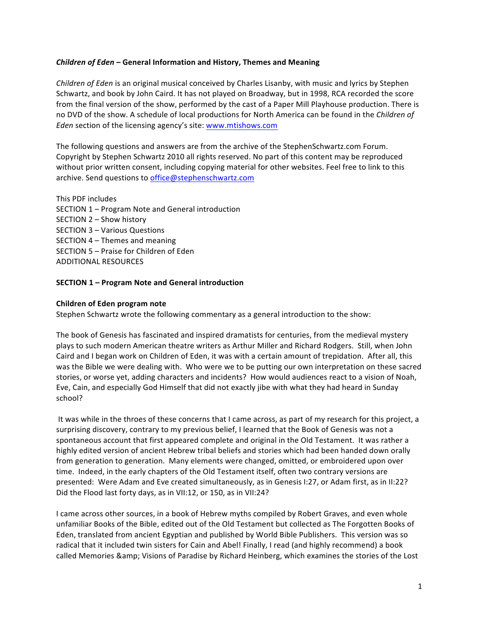# *Children of Eden* **– General Information and History, Themes and Meaning**

*Children of Eden* is an original musical conceived by Charles Lisanby, with music and lyrics by Stephen Schwartz, and book by John Caird. It has not played on Broadway, but in 1998, RCA recorded the score from the final version of the show, performed by the cast of a Paper Mill Playhouse production. There is no DVD of the show. A schedule of local productions for North America can be found in the *Children of Eden* section of the licensing agency's site: www.mtishows.com

The following questions and answers are from the archive of the StephenSchwartz.com Forum. Copyright by Stephen Schwartz 2010 all rights reserved. No part of this content may be reproduced without prior written consent, including copying material for other websites. Feel free to link to this archive. Send questions to office@stephenschwartz.com

This PDF includes

- SECTION 1 Program Note and General introduction
- SECTION 2 Show history
- SECTION 3 Various Questions
- SECTION  $4$  Themes and meaning
- SECTION 5 Praise for Children of Eden
- ADDITIONAL RESOURCES

# **SECTION 1 – Program Note and General introduction**

# **Children of Eden program note**

Stephen Schwartz wrote the following commentary as a general introduction to the show:

The book of Genesis has fascinated and inspired dramatists for centuries, from the medieval mystery plays to such modern American theatre writers as Arthur Miller and Richard Rodgers. Still, when John Caird and I began work on Children of Eden, it was with a certain amount of trepidation. After all, this was the Bible we were dealing with. Who were we to be putting our own interpretation on these sacred stories, or worse yet, adding characters and incidents? How would audiences react to a vision of Noah, Eve, Cain, and especially God Himself that did not exactly jibe with what they had heard in Sunday school? 

It was while in the throes of these concerns that I came across, as part of my research for this project, a surprising discovery, contrary to my previous belief, I learned that the Book of Genesis was not a spontaneous account that first appeared complete and original in the Old Testament. It was rather a highly edited version of ancient Hebrew tribal beliefs and stories which had been handed down orally from generation to generation. Many elements were changed, omitted, or embroidered upon over time. Indeed, in the early chapters of the Old Testament itself, often two contrary versions are presented: Were Adam and Eve created simultaneously, as in Genesis I:27, or Adam first, as in II:22? Did the Flood last forty days, as in VII:12, or 150, as in VII:24?

I came across other sources, in a book of Hebrew myths compiled by Robert Graves, and even whole unfamiliar Books of the Bible, edited out of the Old Testament but collected as The Forgotten Books of Eden, translated from ancient Egyptian and published by World Bible Publishers. This version was so radical that it included twin sisters for Cain and Abel! Finally, I read (and highly recommend) a book called Memories & amp; Visions of Paradise by Richard Heinberg, which examines the stories of the Lost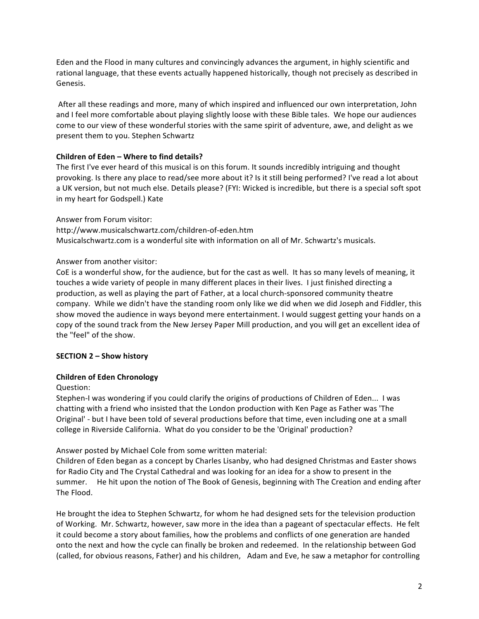Eden and the Flood in many cultures and convincingly advances the argument, in highly scientific and rational language, that these events actually happened historically, though not precisely as described in Genesis. 

After all these readings and more, many of which inspired and influenced our own interpretation, John and I feel more comfortable about playing slightly loose with these Bible tales. We hope our audiences come to our view of these wonderful stories with the same spirit of adventure, awe, and delight as we present them to you. Stephen Schwartz

# **Children of Eden – Where to find details?**

The first I've ever heard of this musical is on this forum. It sounds incredibly intriguing and thought provoking. Is there any place to read/see more about it? Is it still being performed? I've read a lot about a UK version, but not much else. Details please? (FYI: Wicked is incredible, but there is a special soft spot in my heart for Godspell.) Kate

# Answer from Forum visitor:

http://www.musicalschwartz.com/children-of-eden.htm Musicalschwartz.com is a wonderful site with information on all of Mr. Schwartz's musicals.

# Answer from another visitor:

CoE is a wonderful show, for the audience, but for the cast as well. It has so many levels of meaning, it touches a wide variety of people in many different places in their lives. I just finished directing a production, as well as playing the part of Father, at a local church-sponsored community theatre company. While we didn't have the standing room only like we did when we did Joseph and Fiddler, this show moved the audience in ways beyond mere entertainment. I would suggest getting your hands on a copy of the sound track from the New Jersey Paper Mill production, and you will get an excellent idea of the "feel" of the show.

# **SECTION 2 – Show history**

# **Children of Eden Chronology**

#### Question:

Stephen-I was wondering if you could clarify the origins of productions of Children of Eden... I was chatting with a friend who insisted that the London production with Ken Page as Father was 'The Original' - but I have been told of several productions before that time, even including one at a small college in Riverside California. What do you consider to be the 'Original' production?

Answer posted by Michael Cole from some written material:

Children of Eden began as a concept by Charles Lisanby, who had designed Christmas and Easter shows for Radio City and The Crystal Cathedral and was looking for an idea for a show to present in the summer. He hit upon the notion of The Book of Genesis, beginning with The Creation and ending after The Flood.

He brought the idea to Stephen Schwartz, for whom he had designed sets for the television production of Working. Mr. Schwartz, however, saw more in the idea than a pageant of spectacular effects. He felt it could become a story about families, how the problems and conflicts of one generation are handed onto the next and how the cycle can finally be broken and redeemed. In the relationship between God (called, for obvious reasons, Father) and his children, Adam and Eve, he saw a metaphor for controlling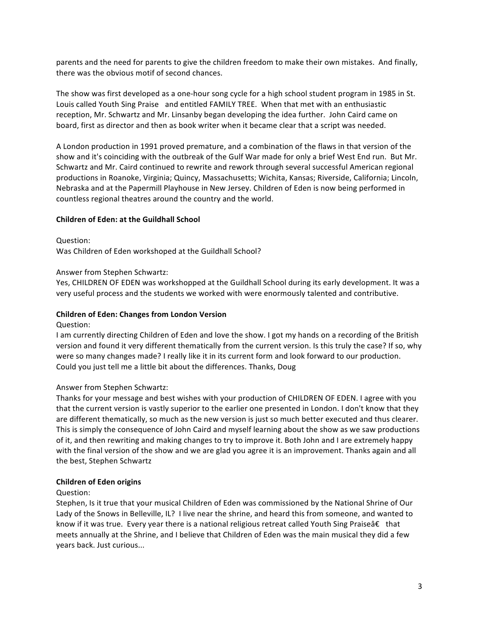parents and the need for parents to give the children freedom to make their own mistakes. And finally, there was the obvious motif of second chances.

The show was first developed as a one-hour song cycle for a high school student program in 1985 in St. Louis called Youth Sing Praise and entitled FAMILY TREE. When that met with an enthusiastic reception, Mr. Schwartz and Mr. Linsanby began developing the idea further. John Caird came on board, first as director and then as book writer when it became clear that a script was needed.

A London production in 1991 proved premature, and a combination of the flaws in that version of the show and it's coinciding with the outbreak of the Gulf War made for only a brief West End run. But Mr. Schwartz and Mr. Caird continued to rewrite and rework through several successful American regional productions in Roanoke, Virginia; Quincy, Massachusetts; Wichita, Kansas; Riverside, California; Lincoln, Nebraska and at the Papermill Playhouse in New Jersey. Children of Eden is now being performed in countless regional theatres around the country and the world.

## **Children of Eden: at the Guildhall School**

#### Question:

Was Children of Eden workshoped at the Guildhall School?

## Answer from Stephen Schwartz:

Yes, CHILDREN OF EDEN was workshopped at the Guildhall School during its early development. It was a very useful process and the students we worked with were enormously talented and contributive.

#### **Children of Eden: Changes from London Version**

#### Question:

I am currently directing Children of Eden and love the show. I got my hands on a recording of the British version and found it very different thematically from the current version. Is this truly the case? If so, why were so many changes made? I really like it in its current form and look forward to our production. Could you just tell me a little bit about the differences. Thanks, Doug

# Answer from Stephen Schwartz:

Thanks for your message and best wishes with your production of CHILDREN OF EDEN. I agree with you that the current version is vastly superior to the earlier one presented in London. I don't know that they are different thematically, so much as the new version is just so much better executed and thus clearer. This is simply the consequence of John Caird and myself learning about the show as we saw productions of it, and then rewriting and making changes to try to improve it. Both John and I are extremely happy with the final version of the show and we are glad you agree it is an improvement. Thanks again and all the best, Stephen Schwartz

#### **Children of Eden origins**

#### Question:

Stephen, Is it true that your musical Children of Eden was commissioned by the National Shrine of Our Lady of the Snows in Belleville, IL? I live near the shrine, and heard this from someone, and wanted to know if it was true. Every year there is a national religious retreat called Youth Sing Praise†that meets annually at the Shrine, and I believe that Children of Eden was the main musical they did a few years back. Just curious...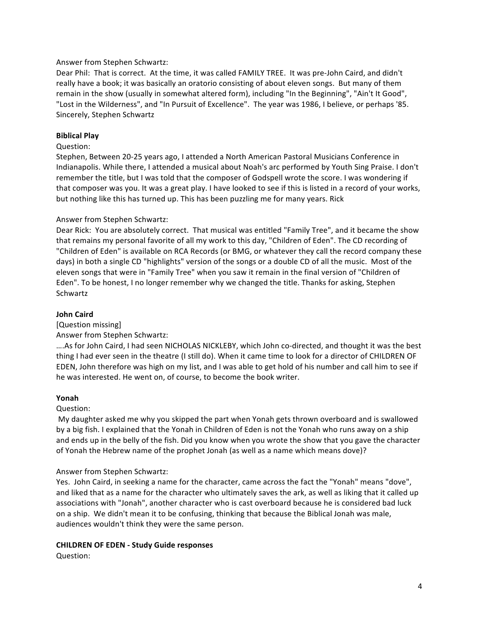# Answer from Stephen Schwartz:

Dear Phil: That is correct. At the time, it was called FAMILY TREE. It was pre-John Caird, and didn't really have a book; it was basically an oratorio consisting of about eleven songs. But many of them remain in the show (usually in somewhat altered form), including "In the Beginning", "Ain't It Good", "Lost in the Wilderness", and "In Pursuit of Excellence". The year was 1986, I believe, or perhaps '85. Sincerely, Stephen Schwartz

#### **Biblical Play**

#### Question:

Stephen, Between 20-25 years ago, I attended a North American Pastoral Musicians Conference in Indianapolis. While there, I attended a musical about Noah's arc performed by Youth Sing Praise. I don't remember the title, but I was told that the composer of Godspell wrote the score. I was wondering if that composer was you. It was a great play. I have looked to see if this is listed in a record of your works, but nothing like this has turned up. This has been puzzling me for many years. Rick

## Answer from Stephen Schwartz:

Dear Rick: You are absolutely correct. That musical was entitled "Family Tree", and it became the show that remains my personal favorite of all my work to this day, "Children of Eden". The CD recording of "Children of Eden" is available on RCA Records (or BMG, or whatever they call the record company these days) in both a single CD "highlights" version of the songs or a double CD of all the music. Most of the eleven songs that were in "Family Tree" when you saw it remain in the final version of "Children of Eden". To be honest, I no longer remember why we changed the title. Thanks for asking, Stephen Schwartz 

#### **John Caird**

#### [Question missing]

#### Answer from Stephen Schwartz:

....As for John Caird, I had seen NICHOLAS NICKLEBY, which John co-directed, and thought it was the best thing I had ever seen in the theatre (I still do). When it came time to look for a director of CHILDREN OF EDEN, John therefore was high on my list, and I was able to get hold of his number and call him to see if he was interested. He went on, of course, to become the book writer.

#### **Yonah**

#### Question:

My daughter asked me why you skipped the part when Yonah gets thrown overboard and is swallowed by a big fish. I explained that the Yonah in Children of Eden is not the Yonah who runs away on a ship and ends up in the belly of the fish. Did you know when you wrote the show that you gave the character of Yonah the Hebrew name of the prophet Jonah (as well as a name which means dove)?

#### Answer from Stephen Schwartz:

Yes. John Caird, in seeking a name for the character, came across the fact the "Yonah" means "dove", and liked that as a name for the character who ultimately saves the ark, as well as liking that it called up associations with "Jonah", another character who is cast overboard because he is considered bad luck on a ship. We didn't mean it to be confusing, thinking that because the Biblical Jonah was male, audiences wouldn't think they were the same person.

#### **CHILDREN OF EDEN - Study Guide responses**

Question: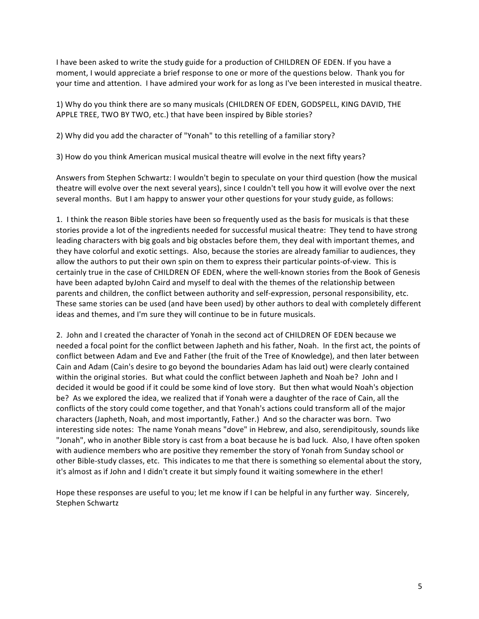I have been asked to write the study guide for a production of CHILDREN OF EDEN. If you have a moment, I would appreciate a brief response to one or more of the questions below. Thank you for your time and attention. I have admired your work for as long as I've been interested in musical theatre.

1) Why do you think there are so many musicals (CHILDREN OF EDEN, GODSPELL, KING DAVID, THE APPLE TREE, TWO BY TWO, etc.) that have been inspired by Bible stories?

2) Why did you add the character of "Yonah" to this retelling of a familiar story?

3) How do you think American musical musical theatre will evolve in the next fifty years?

Answers from Stephen Schwartz: I wouldn't begin to speculate on your third question (how the musical theatre will evolve over the next several years), since I couldn't tell you how it will evolve over the next several months. But I am happy to answer your other questions for your study guide, as follows:

1. I think the reason Bible stories have been so frequently used as the basis for musicals is that these stories provide a lot of the ingredients needed for successful musical theatre: They tend to have strong leading characters with big goals and big obstacles before them, they deal with important themes, and they have colorful and exotic settings. Also, because the stories are already familiar to audiences, they allow the authors to put their own spin on them to express their particular points-of-view. This is certainly true in the case of CHILDREN OF EDEN, where the well-known stories from the Book of Genesis have been adapted byJohn Caird and myself to deal with the themes of the relationship between parents and children, the conflict between authority and self-expression, personal responsibility, etc. These same stories can be used (and have been used) by other authors to deal with completely different ideas and themes, and I'm sure they will continue to be in future musicals.

2. John and I created the character of Yonah in the second act of CHILDREN OF EDEN because we needed a focal point for the conflict between Japheth and his father, Noah. In the first act, the points of conflict between Adam and Eve and Father (the fruit of the Tree of Knowledge), and then later between Cain and Adam (Cain's desire to go beyond the boundaries Adam has laid out) were clearly contained within the original stories. But what could the conflict between Japheth and Noah be? John and I decided it would be good if it could be some kind of love story. But then what would Noah's objection be? As we explored the idea, we realized that if Yonah were a daughter of the race of Cain, all the conflicts of the story could come together, and that Yonah's actions could transform all of the major characters (Japheth, Noah, and most importantly, Father.) And so the character was born. Two interesting side notes: The name Yonah means "dove" in Hebrew, and also, serendipitously, sounds like "Jonah", who in another Bible story is cast from a boat because he is bad luck. Also, I have often spoken with audience members who are positive they remember the story of Yonah from Sunday school or other Bible-study classes, etc. This indicates to me that there is something so elemental about the story, it's almost as if John and I didn't create it but simply found it waiting somewhere in the ether!

Hope these responses are useful to you; let me know if I can be helpful in any further way. Sincerely, Stephen Schwartz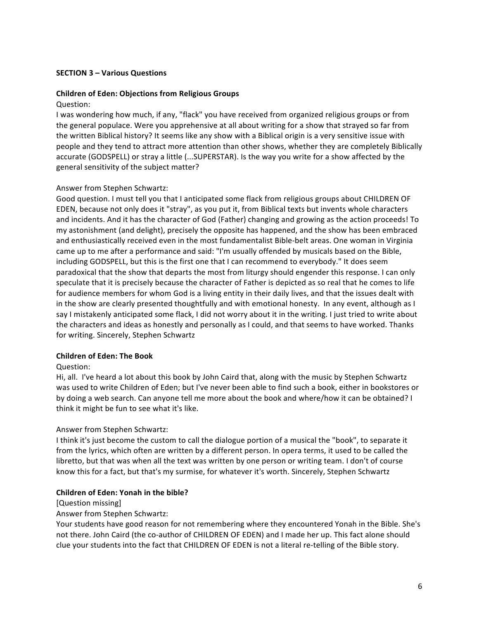# **SECTION 3 – Various Questions**

## **Children of Eden: Objections from Religious Groups**

#### Question:

I was wondering how much, if any, "flack" you have received from organized religious groups or from the general populace. Were you apprehensive at all about writing for a show that strayed so far from the written Biblical history? It seems like any show with a Biblical origin is a very sensitive issue with people and they tend to attract more attention than other shows, whether they are completely Biblically accurate (GODSPELL) or stray a little (...SUPERSTAR). Is the way you write for a show affected by the general sensitivity of the subject matter?

# Answer from Stephen Schwartz:

Good question. I must tell you that I anticipated some flack from religious groups about CHILDREN OF EDEN, because not only does it "stray", as you put it, from Biblical texts but invents whole characters and incidents. And it has the character of God (Father) changing and growing as the action proceeds! To my astonishment (and delight), precisely the opposite has happened, and the show has been embraced and enthusiastically received even in the most fundamentalist Bible-belt areas. One woman in Virginia came up to me after a performance and said: "I'm usually offended by musicals based on the Bible, including GODSPELL, but this is the first one that I can recommend to everybody." It does seem paradoxical that the show that departs the most from liturgy should engender this response. I can only speculate that it is precisely because the character of Father is depicted as so real that he comes to life for audience members for whom God is a living entity in their daily lives, and that the issues dealt with in the show are clearly presented thoughtfully and with emotional honesty. In any event, although as I say I mistakenly anticipated some flack, I did not worry about it in the writing. I just tried to write about the characters and ideas as honestly and personally as I could, and that seems to have worked. Thanks for writing. Sincerely, Stephen Schwartz

#### **Children of Eden: The Book**

# Question:

Hi, all. I've heard a lot about this book by John Caird that, along with the music by Stephen Schwartz was used to write Children of Eden; but I've never been able to find such a book, either in bookstores or by doing a web search. Can anyone tell me more about the book and where/how it can be obtained? I think it might be fun to see what it's like.

# Answer from Stephen Schwartz:

I think it's just become the custom to call the dialogue portion of a musical the "book", to separate it from the lyrics, which often are written by a different person. In opera terms, it used to be called the libretto, but that was when all the text was written by one person or writing team. I don't of course know this for a fact, but that's my surmise, for whatever it's worth. Sincerely, Stephen Schwartz

# **Children of Eden: Yonah in the bible?**

#### [Question missing]

# Answer from Stephen Schwartz:

Your students have good reason for not remembering where they encountered Yonah in the Bible. She's not there. John Caird (the co-author of CHILDREN OF EDEN) and I made her up. This fact alone should clue your students into the fact that CHILDREN OF EDEN is not a literal re-telling of the Bible story.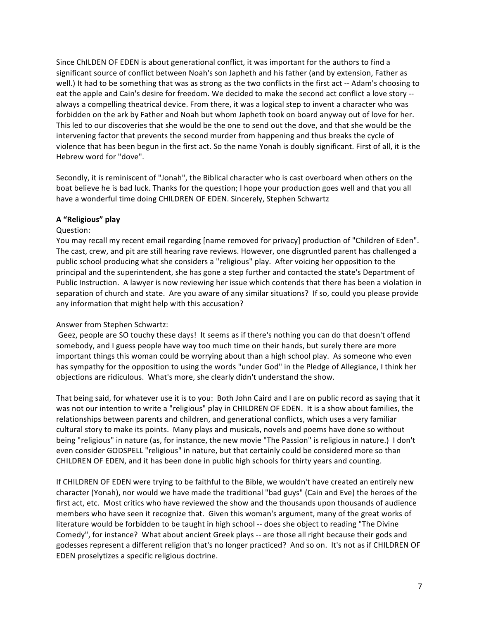Since ChILDEN OF EDEN is about generational conflict, it was important for the authors to find a significant source of conflict between Noah's son Japheth and his father (and by extension, Father as well.) It had to be something that was as strong as the two conflicts in the first act -- Adam's choosing to eat the apple and Cain's desire for freedom. We decided to make the second act conflict a love story -always a compelling theatrical device. From there, it was a logical step to invent a character who was forbidden on the ark by Father and Noah but whom Japheth took on board anyway out of love for her. This led to our discoveries that she would be the one to send out the dove, and that she would be the intervening factor that prevents the second murder from happening and thus breaks the cycle of violence that has been begun in the first act. So the name Yonah is doubly significant. First of all, it is the Hebrew word for "dove".

Secondly, it is reminiscent of "Jonah", the Biblical character who is cast overboard when others on the boat believe he is bad luck. Thanks for the question; I hope your production goes well and that you all have a wonderful time doing CHILDREN OF EDEN. Sincerely, Stephen Schwartz

# **A "Religious" play**

# Question:

You may recall my recent email regarding [name removed for privacy] production of "Children of Eden". The cast, crew, and pit are still hearing rave reviews. However, one disgruntled parent has challenged a public school producing what she considers a "religious" play. After voicing her opposition to the principal and the superintendent, she has gone a step further and contacted the state's Department of Public Instruction. A lawyer is now reviewing her issue which contends that there has been a violation in separation of church and state. Are you aware of any similar situations? If so, could you please provide any information that might help with this accusation?

# Answer from Stephen Schwartz:

Geez, people are SO touchy these days! It seems as if there's nothing you can do that doesn't offend somebody, and I guess people have way too much time on their hands, but surely there are more important things this woman could be worrying about than a high school play. As someone who even has sympathy for the opposition to using the words "under God" in the Pledge of Allegiance, I think her objections are ridiculous. What's more, she clearly didn't understand the show.

That being said, for whatever use it is to you: Both John Caird and I are on public record as saying that it was not our intention to write a "religious" play in CHILDREN OF EDEN. It is a show about families, the relationships between parents and children, and generational conflicts, which uses a very familiar cultural story to make its points. Many plays and musicals, novels and poems have done so without being "religious" in nature (as, for instance, the new movie "The Passion" is religious in nature.) I don't even consider GODSPELL "religious" in nature, but that certainly could be considered more so than CHILDREN OF EDEN, and it has been done in public high schools for thirty years and counting.

If CHILDREN OF EDEN were trying to be faithful to the Bible, we wouldn't have created an entirely new character (Yonah), nor would we have made the traditional "bad guys" (Cain and Eve) the heroes of the first act, etc. Most critics who have reviewed the show and the thousands upon thousands of audience members who have seen it recognize that. Given this woman's argument, many of the great works of literature would be forbidden to be taught in high school -- does she object to reading "The Divine Comedy", for instance? What about ancient Greek plays -- are those all right because their gods and godesses represent a different religion that's no longer practiced? And so on. It's not as if CHILDREN OF EDEN proselytizes a specific religious doctrine.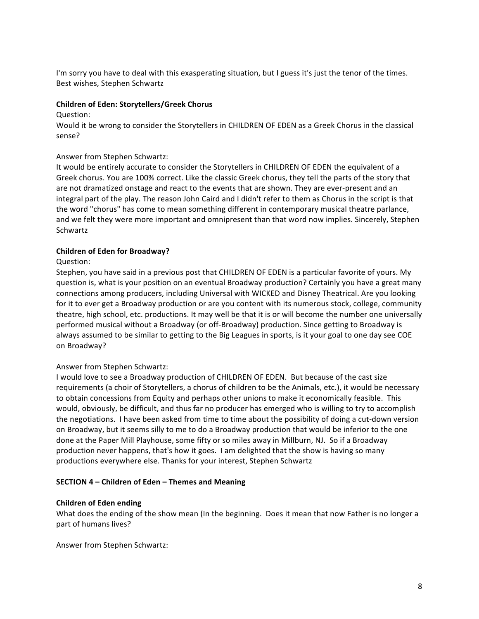I'm sorry you have to deal with this exasperating situation, but I guess it's just the tenor of the times. Best wishes, Stephen Schwartz

## **Children of Eden: Storytellers/Greek Chorus**

#### Question:

Would it be wrong to consider the Storytellers in CHILDREN OF EDEN as a Greek Chorus in the classical sense? 

# Answer from Stephen Schwartz:

It would be entirely accurate to consider the Storytellers in CHILDREN OF EDEN the equivalent of a Greek chorus. You are 100% correct. Like the classic Greek chorus, they tell the parts of the story that are not dramatized onstage and react to the events that are shown. They are ever-present and an integral part of the play. The reason John Caird and I didn't refer to them as Chorus in the script is that the word "chorus" has come to mean something different in contemporary musical theatre parlance, and we felt they were more important and omnipresent than that word now implies. Sincerely, Stephen Schwartz

# **Children of Eden for Broadway?**

# Question:

Stephen, you have said in a previous post that CHILDREN OF EDEN is a particular favorite of yours. My question is, what is your position on an eventual Broadway production? Certainly you have a great many connections among producers, including Universal with WICKED and Disney Theatrical. Are you looking for it to ever get a Broadway production or are you content with its numerous stock, college, community theatre, high school, etc. productions. It may well be that it is or will become the number one universally performed musical without a Broadway (or off-Broadway) production. Since getting to Broadway is always assumed to be similar to getting to the Big Leagues in sports, is it your goal to one day see COE on Broadway?

# Answer from Stephen Schwartz:

I would love to see a Broadway production of CHILDREN OF EDEN. But because of the cast size requirements (a choir of Storytellers, a chorus of children to be the Animals, etc.), it would be necessary to obtain concessions from Equity and perhaps other unions to make it economically feasible. This would, obviously, be difficult, and thus far no producer has emerged who is willing to try to accomplish the negotiations. I have been asked from time to time about the possibility of doing a cut-down version on Broadway, but it seems silly to me to do a Broadway production that would be inferior to the one done at the Paper Mill Playhouse, some fifty or so miles away in Millburn, NJ. So if a Broadway production never happens, that's how it goes. I am delighted that the show is having so many productions everywhere else. Thanks for your interest, Stephen Schwartz

# **SECTION 4 – Children of Eden – Themes and Meaning**

# **Children of Eden ending**

What does the ending of the show mean (In the beginning. Does it mean that now Father is no longer a part of humans lives?

Answer from Stephen Schwartz: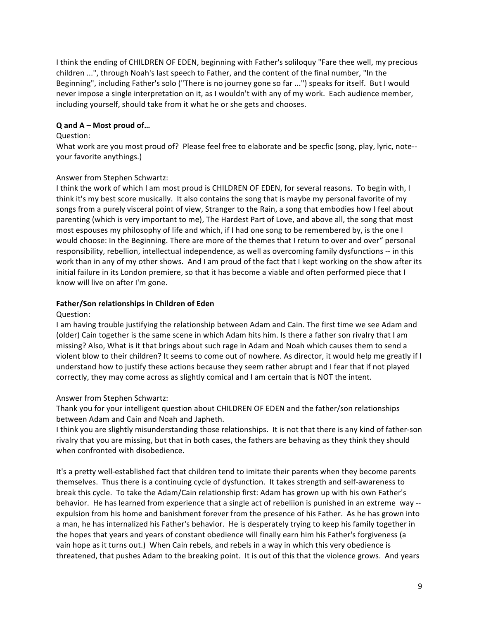I think the ending of CHILDREN OF EDEN, beginning with Father's soliloquy "Fare thee well, my precious children ...", through Noah's last speech to Father, and the content of the final number, "In the Beginning", including Father's solo ("There is no journey gone so far ...") speaks for itself. But I would never impose a single interpretation on it, as I wouldn't with any of my work. Each audience member, including yourself, should take from it what he or she gets and chooses.

# **Q and A – Most proud of…**

#### Question:

What work are you most proud of? Please feel free to elaborate and be specfic (song, play, lyric, note-your favorite anythings.)

## Answer from Stephen Schwartz:

I think the work of which I am most proud is CHILDREN OF EDEN, for several reasons. To begin with, I think it's my best score musically. It also contains the song that is maybe my personal favorite of my songs from a purely visceral point of view, Stranger to the Rain, a song that embodies how I feel about parenting (which is very important to me), The Hardest Part of Love, and above all, the song that most most espouses my philosophy of life and which, if I had one song to be remembered by, is the one I would choose: In the Beginning. There are more of the themes that I return to over and over" personal responsibility, rebellion, intellectual independence, as well as overcoming family dysfunctions -- in this work than in any of my other shows. And I am proud of the fact that I kept working on the show after its initial failure in its London premiere, so that it has become a viable and often performed piece that I know will live on after I'm gone.

#### **Father/Son relationships in Children of Eden**

#### Question:

I am having trouble justifying the relationship between Adam and Cain. The first time we see Adam and (older) Cain together is the same scene in which Adam hits him. Is there a father son rivalry that I am missing? Also, What is it that brings about such rage in Adam and Noah which causes them to send a violent blow to their children? It seems to come out of nowhere. As director, it would help me greatly if I understand how to justify these actions because they seem rather abrupt and I fear that if not played correctly, they may come across as slightly comical and I am certain that is NOT the intent.

#### Answer from Stephen Schwartz:

Thank you for your intelligent question about CHILDREN OF EDEN and the father/son relationships between Adam and Cain and Noah and Japheth.

I think you are slightly misunderstanding those relationships. It is not that there is any kind of father-son rivalry that you are missing, but that in both cases, the fathers are behaving as they think they should when confronted with disobedience.

It's a pretty well-established fact that children tend to imitate their parents when they become parents themselves. Thus there is a continuing cycle of dysfunction. It takes strength and self-awareness to break this cycle. To take the Adam/Cain relationship first: Adam has grown up with his own Father's behavior. He has learned from experience that a single act of rebeliion is punished in an extreme way -expulsion from his home and banishment forever from the presence of his Father. As he has grown into a man, he has internalized his Father's behavior. He is desperately trying to keep his family together in the hopes that years and years of constant obedience will finally earn him his Father's forgiveness (a vain hope as it turns out.) When Cain rebels, and rebels in a way in which this very obedience is threatened, that pushes Adam to the breaking point. It is out of this that the violence grows. And years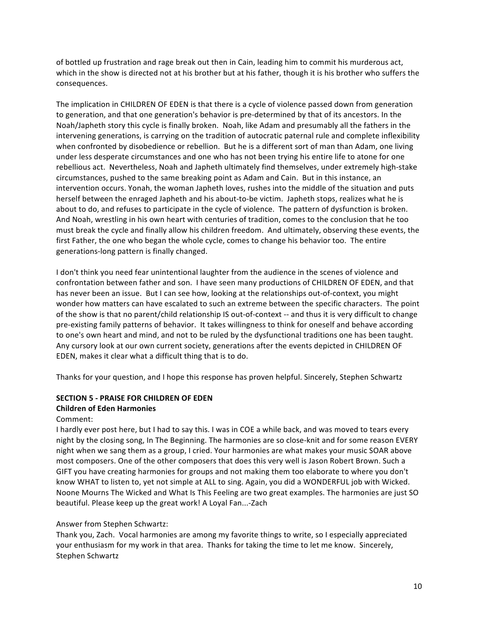of bottled up frustration and rage break out then in Cain, leading him to commit his murderous act, which in the show is directed not at his brother but at his father, though it is his brother who suffers the consequences. 

The implication in CHILDREN OF EDEN is that there is a cycle of violence passed down from generation to generation, and that one generation's behavior is pre-determined by that of its ancestors. In the Noah/Japheth story this cycle is finally broken. Noah, like Adam and presumably all the fathers in the intervening generations, is carrying on the tradition of autocratic paternal rule and complete inflexibility when confronted by disobedience or rebellion. But he is a different sort of man than Adam, one living under less desperate circumstances and one who has not been trying his entire life to atone for one rebellious act. Nevertheless, Noah and Japheth ultimately find themselves, under extremely high-stake circumstances, pushed to the same breaking point as Adam and Cain. But in this instance, an intervention occurs. Yonah, the woman Japheth loves, rushes into the middle of the situation and puts herself between the enraged Japheth and his about-to-be victim. Japheth stops, realizes what he is about to do, and refuses to participate in the cycle of violence. The pattern of dysfunction is broken. And Noah, wrestling in his own heart with centuries of tradition, comes to the conclusion that he too must break the cycle and finally allow his children freedom. And ultimately, observing these events, the first Father, the one who began the whole cycle, comes to change his behavior too. The entire generations-long pattern is finally changed.

I don't think you need fear unintentional laughter from the audience in the scenes of violence and confrontation between father and son. I have seen many productions of CHILDREN OF EDEN, and that has never been an issue. But I can see how, looking at the relationships out-of-context, you might wonder how matters can have escalated to such an extreme between the specific characters. The point of the show is that no parent/child relationship IS out-of-context -- and thus it is very difficult to change pre-existing family patterns of behavior. It takes willingness to think for oneself and behave according to one's own heart and mind, and not to be ruled by the dysfunctional traditions one has been taught. Any cursory look at our own current society, generations after the events depicted in CHILDREN OF EDEN, makes it clear what a difficult thing that is to do.

Thanks for your question, and I hope this response has proven helpful. Sincerely, Stephen Schwartz

# **SECTION 5 - PRAISE FOR CHILDREN OF EDEN**

# **Children of Eden Harmonies**

#### Comment:

I hardly ever post here, but I had to say this. I was in COE a while back, and was moved to tears every night by the closing song, In The Beginning. The harmonies are so close-knit and for some reason EVERY night when we sang them as a group, I cried. Your harmonies are what makes your music SOAR above most composers. One of the other composers that does this very well is Jason Robert Brown. Such a GIFT you have creating harmonies for groups and not making them too elaborate to where you don't know WHAT to listen to, yet not simple at ALL to sing. Again, you did a WONDERFUL job with Wicked. Noone Mourns The Wicked and What Is This Feeling are two great examples. The harmonies are just SO beautiful. Please keep up the great work! A Loyal Fan...-Zach

# Answer from Stephen Schwartz:

Thank you, Zach. Vocal harmonies are among my favorite things to write, so I especially appreciated your enthusiasm for my work in that area. Thanks for taking the time to let me know. Sincerely, Stephen Schwartz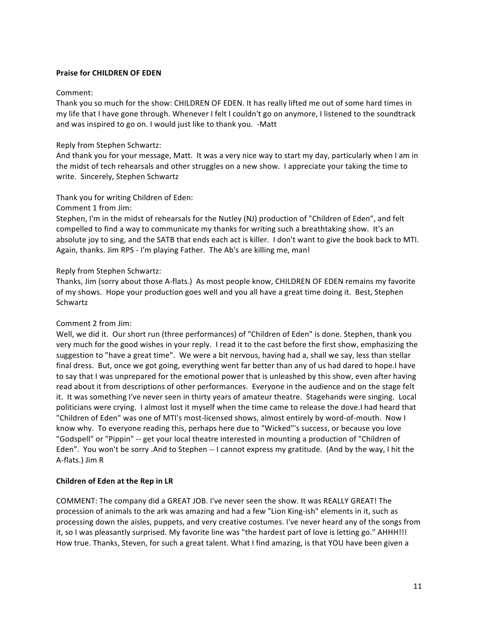# **Praise for CHILDREN OF EDEN**

## Comment:

Thank you so much for the show: CHILDREN OF EDEN. It has really lifted me out of some hard times in my life that I have gone through. Whenever I felt I couldn't go on anymore, I listened to the soundtrack and was inspired to go on. I would just like to thank you. -Matt

## Reply from Stephen Schwartz:

And thank you for your message, Matt. It was a very nice way to start my day, particularly when I am in the midst of tech rehearsals and other struggles on a new show. I appreciate your taking the time to write. Sincerely, Stephen Schwartz

Thank you for writing Children of Eden:

Comment 1 from Jim:

Stephen, I'm in the midst of rehearsals for the Nutley (NJ) production of "Children of Eden", and felt compelled to find a way to communicate my thanks for writing such a breathtaking show. It's an absolute joy to sing, and the SATB that ends each act is killer. I don't want to give the book back to MTI. Again, thanks. Jim RPS - I'm playing Father. The Ab's are killing me, man!

# Reply from Stephen Schwartz:

Thanks, Jim (sorry about those A-flats.) As most people know, CHILDREN OF EDEN remains my favorite of my shows. Hope your production goes well and you all have a great time doing it. Best, Stephen Schwartz 

# Comment 2 from Jim:

Well, we did it. Our short run (three performances) of "Children of Eden" is done. Stephen, thank you very much for the good wishes in your reply. I read it to the cast before the first show, emphasizing the suggestion to "have a great time". We were a bit nervous, having had a, shall we say, less than stellar final dress. But, once we got going, everything went far better than any of us had dared to hope.I have to say that I was unprepared for the emotional power that is unleashed by this show, even after having read about it from descriptions of other performances. Everyone in the audience and on the stage felt it. It was something I've never seen in thirty years of amateur theatre. Stagehands were singing. Local politicians were crying. I almost lost it myself when the time came to release the dove.I had heard that "Children of Eden" was one of MTI's most-licensed shows, almost entirely by word-of-mouth. Now I know why. To everyone reading this, perhaps here due to "Wicked"'s success, or because you love "Godspell" or "Pippin" -- get your local theatre interested in mounting a production of "Children of Eden". You won't be sorry .And to Stephen -- I cannot express my gratitude. (And by the way, I hit the A-flats.) Jim R

# **Children of Eden at the Rep in LR**

COMMENT: The company did a GREAT JOB. I've never seen the show. It was REALLY GREAT! The procession of animals to the ark was amazing and had a few "Lion King-ish" elements in it, such as processing down the aisles, puppets, and very creative costumes. I've never heard any of the songs from it, so I was pleasantly surprised. My favorite line was "the hardest part of love is letting go." AHHH!!! How true. Thanks, Steven, for such a great talent. What I find amazing, is that YOU have been given a